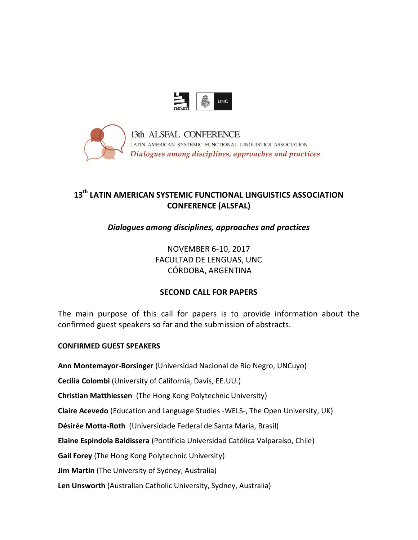



13th ALSFAL CONFERENCE LATIN AMERICAN SYSTEMIC FUNCTIONAL LINGUISTICS ASSOCIATION Dialogues among disciplines, approaches and practices

# **13th LATIN AMERICAN SYSTEMIC FUNCTIONAL LINGUISTICS ASSOCIATION CONFERENCE (ALSFAL)**

*Dialogues among disciplines, approaches and practices*

NOVEMBER 6-10, 2017 FACULTAD DE LENGUAS, UNC CÓRDOBA, ARGENTINA

### **SECOND CALL FOR PAPERS**

The main purpose of this call for papers is to provide information about the confirmed guest speakers so far and the submission of abstracts.

#### **CONFIRMED GUEST SPEAKERS**

**Ann Montemayor-Borsinger** (Universidad Nacional de Río Negro, UNCuyo)

**Cecilia Colombi** (University of California, Davis, EE.UU.)

**Christian Matthiessen** (The Hong Kong Polytechnic University)

**Claire Acevedo** (Education and Language Studies -WELS-, The Open University, UK)

**Désirée Motta-Roth** (Universidade Federal de Santa Maria, Brasil)

**Elaine Espindola Baldissera** (Pontificia Universidad Católica Valparaíso, Chile)

**Gail Forey** (The Hong Kong Polytechnic University)

**Jim Martin** (The University of Sydney, Australia)

**Len Unsworth** (Australian Catholic University, Sydney, Australia)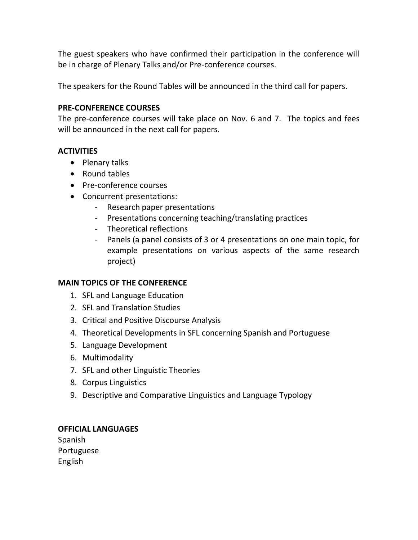The guest speakers who have confirmed their participation in the conference will be in charge of Plenary Talks and/or Pre-conference courses.

The speakers for the Round Tables will be announced in the third call for papers.

## **PRE-CONFERENCE COURSES**

The pre-conference courses will take place on Nov. 6 and 7. The topics and fees will be announced in the next call for papers.

## **ACTIVITIES**

- Plenary talks
- Round tables
- Pre-conference courses
- Concurrent presentations:
	- Research paper presentations
	- Presentations concerning teaching/translating practices
	- Theoretical reflections
	- Panels (a panel consists of 3 or 4 presentations on one main topic, for example presentations on various aspects of the same research project)

# **MAIN TOPICS OF THE CONFERENCE**

- 1. SFL and Language Education
- 2. SFL and Translation Studies
- 3. Critical and Positive Discourse Analysis
- 4. Theoretical Developments in SFL concerning Spanish and Portuguese
- 5. Language Development
- 6. Multimodality
- 7. SFL and other Linguistic Theories
- 8. Corpus Linguistics
- 9. Descriptive and Comparative Linguistics and Language Typology

### **OFFICIAL LANGUAGES**

Spanish Portuguese English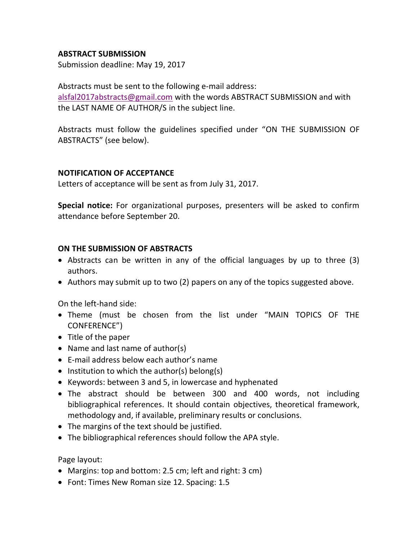#### **ABSTRACT SUBMISSION**

Submission deadline: May 19, 2017

Abstracts must be sent to the following e-mail address: [alsfal2017abstracts@gmail.com](mailto:alsfal2017abstracts@gmail.com) with the words ABSTRACT SUBMISSION and with the LAST NAME OF AUTHOR/S in the subject line.

Abstracts must follow the guidelines specified under "ON THE SUBMISSION OF ABSTRACTS" (see below).

### **NOTIFICATION OF ACCEPTANCE**

Letters of acceptance will be sent as from July 31, 2017.

**Special notice:** For organizational purposes, presenters will be asked to confirm attendance before September 20.

### **ON THE SUBMISSION OF ABSTRACTS**

- Abstracts can be written in any of the official languages by up to three (3) authors.
- Authors may submit up to two (2) papers on any of the topics suggested above.

On the left-hand side:

- Theme (must be chosen from the list under "MAIN TOPICS OF THE CONFERENCE")
- Title of the paper
- Name and last name of author(s)
- E-mail address below each author's name
- $\bullet$  Institution to which the author(s) belong(s)
- Keywords: between 3 and 5, in lowercase and hyphenated
- The abstract should be between 300 and 400 words, not including bibliographical references. It should contain objectives, theoretical framework, methodology and, if available, preliminary results or conclusions.
- The margins of the text should be justified.
- The bibliographical references should follow the APA style.

Page layout:

- Margins: top and bottom: 2.5 cm; left and right: 3 cm)
- Font: Times New Roman size 12. Spacing: 1.5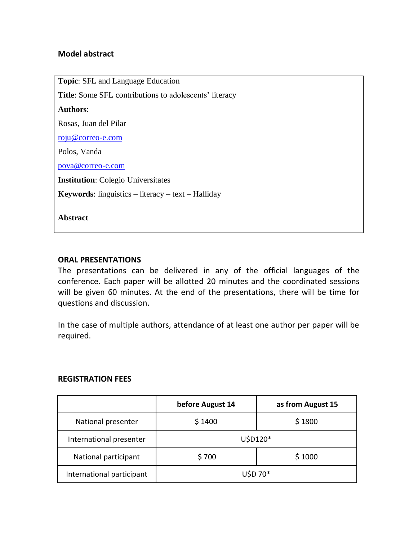#### **Model abstract**

**Topic**: SFL and Language Education **Title**: Some SFL contributions to adolescents' literacy **Authors**: Rosas, Juan del Pilar [roju@correo-e.com](mailto:roju@correo-e.com) Polos, Vanda [pova@correo-e.com](mailto:pova@correo-e.com) **Institution**: Colegio Universitates **Keywords**: linguistics – literacy – text – Halliday

#### **ORAL PRESENTATIONS**

**Abstract**

The presentations can be delivered in any of the official languages of the conference. Each paper will be allotted 20 minutes and the coordinated sessions will be given 60 minutes. At the end of the presentations, there will be time for questions and discussion.

In the case of multiple authors, attendance of at least one author per paper will be required.

#### **REGISTRATION FEES**

|                           | before August 14 | as from August 15 |
|---------------------------|------------------|-------------------|
| National presenter        | \$1400           | \$1800            |
| International presenter   | U\$D120*         |                   |
| National participant      | \$700            | \$1000            |
| International participant | U\$D 70*         |                   |